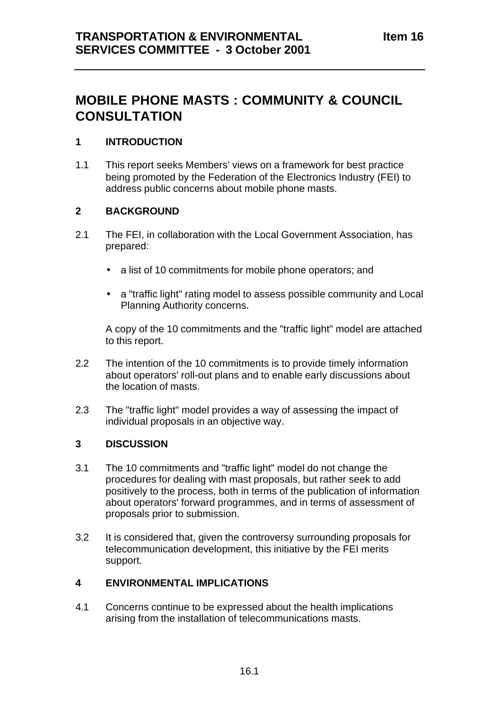# **MOBILE PHONE MASTS : COMMUNITY & COUNCIL CONSULTATION**

## **1 INTRODUCTION**

1.1 This report seeks Members' views on a framework for best practice being promoted by the Federation of the Electronics Industry (FEI) to address public concerns about mobile phone masts.

#### **2 BACKGROUND**

- 2.1 The FEI, in collaboration with the Local Government Association, has prepared:
	- a list of 10 commitments for mobile phone operators; and
	- a "traffic light" rating model to assess possible community and Local Planning Authority concerns.

A copy of the 10 commitments and the "traffic light" model are attached to this report.

- 2.2 The intention of the 10 commitments is to provide timely information about operators' roll-out plans and to enable early discussions about the location of masts.
- 2.3 The "traffic light" model provides a way of assessing the impact of individual proposals in an objective way.

## **3 DISCUSSION**

- 3.1 The 10 commitments and "traffic light" model do not change the procedures for dealing with mast proposals, but rather seek to add positively to the process, both in terms of the publication of information about operators' forward programmes, and in terms of assessment of proposals prior to submission.
- 3.2 It is considered that, given the controversy surrounding proposals for telecommunication development, this initiative by the FEI merits support.

#### **4 ENVIRONMENTAL IMPLICATIONS**

4.1 Concerns continue to be expressed about the health implications arising from the installation of telecommunications masts.